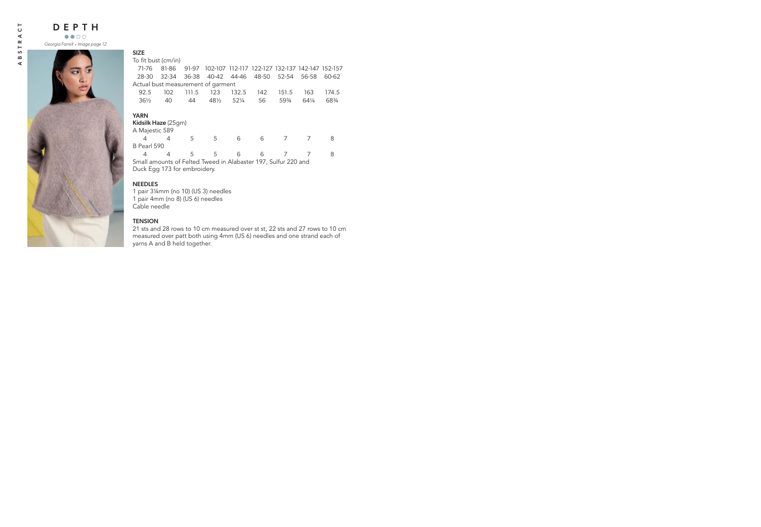

| ×<br>۰. |
|---------|
|---------|

To fit bust (cm/in)

| 71-76                                                          | 81-86     | 91-97 | 102-107 112-117 122-127 132-137 142-147 152-157 |       |       |       |       |       |  |
|----------------------------------------------------------------|-----------|-------|-------------------------------------------------|-------|-------|-------|-------|-------|--|
| 28-30                                                          | $32 - 34$ | 36-38 | 40-42 44-46                                     |       | 48-50 | 52-54 | 56-58 | 60-62 |  |
| Actual bust measurement of garment                             |           |       |                                                 |       |       |       |       |       |  |
| 92.5                                                           | 102       | 111.5 | 123                                             | 132.5 | 142   | 151.5 | 163   | 174.5 |  |
| $36\frac{1}{2}$                                                | 40        | 44    | $48\frac{1}{2}$                                 | 521/4 | 56    | 593/4 | 641/4 | 683/4 |  |
|                                                                |           |       |                                                 |       |       |       |       |       |  |
| <b>YARN</b><br>Kidsilk Haze (25qm)                             |           |       |                                                 |       |       |       |       |       |  |
| A Majestic 589                                                 |           |       |                                                 |       |       |       |       |       |  |
| 4                                                              | 4         | 5     | 5                                               | 6     | 6     |       |       | 8     |  |
| <b>B</b> Pearl 590                                             |           |       |                                                 |       |       |       |       |       |  |
| 4                                                              | 4         | 5     | 5                                               | 6     | 6     |       |       | 8     |  |
| Small amounts of Felted Tweed in Alabaster 197, Sulfur 220 and |           |       |                                                 |       |       |       |       |       |  |
| Duck Egg 173 for embroidery.                                   |           |       |                                                 |       |       |       |       |       |  |

# NEEDLES

1 pair 3¼mm (no 10) (US 3) needles 1 pair 4mm (no 8) (US 6) needles Cable needle

# **TENSION**

21 sts and 28 rows to 10 cm measured over st st, 22 sts and 27 rows to 10 cm measured over patt both using 4mm (US 6) needles and one strand each of yarns A and B held together.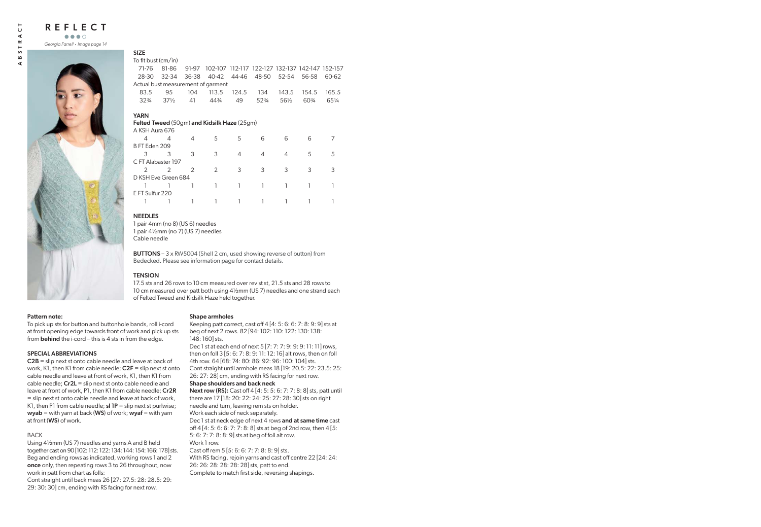$\mathbf{a}$ ď REFLECT

*Georgia Farrell* . *Image page 14*



#### SIZE

To fit bust (cm/in)

| 71-76               | 81-86           | 91-97         |                                             |       | 102-107 112-117 122-127 132-137 142-147 152-157 |                 |       |       |
|---------------------|-----------------|---------------|---------------------------------------------|-------|-------------------------------------------------|-----------------|-------|-------|
| 28-30               | 32-34           | 36-38         | 40-42                                       | 44-46 | 48-50                                           | 52-54           | 56-58 | 60-62 |
|                     |                 |               | Actual bust measurement of garment          |       |                                                 |                 |       |       |
| 83.5                | 95              | 104           | 113.5                                       | 124.5 | 134                                             | 143.5           | 154.5 | 165.5 |
| $32\frac{3}{4}$     | $37\frac{1}{2}$ | 41            | 443/4                                       | 49    | 52%                                             | $56\frac{1}{2}$ | 60\%  | 651/4 |
| YARN                |                 |               |                                             |       |                                                 |                 |       |       |
|                     |                 |               | Felted Tweed (50gm) and Kidsilk Haze (25gm) |       |                                                 |                 |       |       |
| A KSH Aura 676      |                 |               |                                             |       |                                                 |                 |       |       |
| 4                   | 4               | 4             | 5                                           | 5     | 6                                               | 6               | 6     |       |
| B FT Eden 209       |                 |               |                                             |       |                                                 |                 |       |       |
| 3                   | 3               | 3             | 3                                           | 4     | 4                                               | 4               | 5     | 5     |
| C FT Alabaster 197  |                 |               |                                             |       |                                                 |                 |       |       |
| $\mathcal{P}$       | $\mathcal{P}$   | $\mathcal{P}$ | $\mathcal{P}$                               | 3     | 3                                               | 3               | 3     | 3     |
| D KSH Eve Green 684 |                 |               |                                             |       |                                                 |                 |       |       |

## D KSH Eve Green 684 1 1 1 1 1 1 1 1 1 E FT Sulfur 220 1 1 1 1 1 1 1 1 1

### NEEDLES

1 pair 4mm (no 8) (US 6) needles 1 pair 4½mm (no 7) (US 7) needles Cable needle

BUTTONS – 3 x RW5004 (Shell 2 cm, used showing reverse of button) from Bedecked. Please see information page for contact details.

### **TENSION**

17.5 sts and 26 rows to 10 cm measured over rev st st, 21.5 sts and 28 rows to 10 cm measured over patt both using 4½mm (US 7) needles and one strand each of Felted Tweed and Kidsilk Haze held together.

### Pattern note:

To pick up sts for button and buttonhole bands, roll i-cord at front opening edge towards front of work and pick up sts from **behind** the i-cord – this is 4 sts in from the edge.

### SPECIAL ABBREVIATIONS

C2B = slip next st onto cable needle and leave at back of work, K1, then K1 from cable needle:  $C2F =$  slip next st onto cable needle and leave at front of work, K1, then K1 from cable needle;  $Cr2L =$  slip next st onto cable needle and leave at front of work, P1, then K1 from cable needle; Cr2R = slip next st onto cable needle and leave at back of work, K1, then P1 from cable needle;  $sl$  1P = slip next st purlwise;  $wyab = with yarn at back (WS) of work; wyaf = with yarn$ at front (WS) of work.

### BACK

Using 4½mm (US 7) needles and yarns A and B held together cast on 90 [102: 112: 122: 134: 144: 154: 166: 178] sts. Beg and ending rows as indicated, working rows 1 and 2 once only, then repeating rows 3 to 26 throughout, now work in patt from chart as folls:

Cont straight until back meas 26 [27: 27.5: 28: 28.5: 29: 29: 30: 30] cm, ending with RS facing for next row.

#### Shape armholes

Keeping patt correct, cast off 4 [4: 5: 6: 6: 7: 8: 9: 9] sts at beg of next 2 rows. 82 [94: 102: 110: 122: 130: 138: 148: 160] sts.

Dec 1 st at each end of next 5 [7: 7: 7: 9: 9: 9: 11: 11] rows, then on foll 3 [5: 6: 7: 8: 9: 11: 12: 16] alt rows, then on foll 4th row. 64 [68: 74: 80: 86: 92: 96: 100: 104] sts. Cont straight until armhole meas 18 [19: 20.5: 22: 23.5: 25: 26: 27: 28] cm, ending with RS facing for next row.

#### Shape shoulders and back neck

Next row (RS): Cast off 4 [4: 5: 5: 6: 7: 7: 8: 8] sts, patt until there are 17 [18: 20: 22: 24: 25: 27: 28: 30] sts on right needle and turn, leaving rem sts on holder. Work each side of neck separately.

Dec 1 st at neck edge of next 4 rows and at same time cast off 4 [4: 5: 6: 6: 7: 7: 8: 8] sts at beg of 2nd row, then 4 [5: 5: 6: 7: 7: 8: 8: 9] sts at beg of foll alt row. Work 1 row.

Cast off rem 5 [5: 6: 6: 7: 7: 8: 8: 9] sts.

With RS facing, rejoin yarns and cast off centre 22 [24: 24: 26: 26: 28: 28: 28: 28] sts, patt to end.

Complete to match first side, reversing shapings.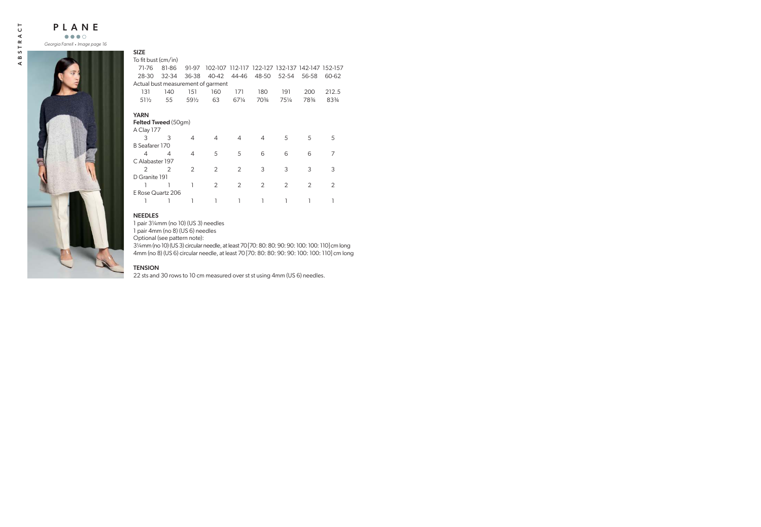

| To fit bust (cm/in)                |               |                 |                                                 |               |       |                |               |               |
|------------------------------------|---------------|-----------------|-------------------------------------------------|---------------|-------|----------------|---------------|---------------|
| 71-76                              | 81-86         | 91-97           | 102-107 112-117 122-127 132-137 142-147 152-157 |               |       |                |               |               |
| 28-30                              | 32-34         | 36-38           | 40-42                                           | 44-46         | 48-50 | 52-54          | 56-58         | 60-62         |
| Actual bust measurement of garment |               |                 |                                                 |               |       |                |               |               |
| 131                                | 140           | 151             | 160                                             | 171           | 180   | 191            | 200           | 212.5         |
| $51\frac{1}{2}$                    | 55            | $59\frac{1}{2}$ | 63                                              | 671/4         | 70%   | 751/4          | 783/4         | 834           |
| YARN                               |               |                 |                                                 |               |       |                |               |               |
| <b>Felted Tweed</b> (50gm)         |               |                 |                                                 |               |       |                |               |               |
| A Clay 177                         |               |                 |                                                 |               |       |                |               |               |
| 3                                  | 3             | 4               | 4                                               | 4             | 4     | 5              | 5             | 5             |
| B Seafarer 170                     |               |                 |                                                 |               |       |                |               |               |
| 4                                  | 4             | 4               | 5                                               | 5             | 6     | 6              | 6             | 7             |
| C Alabaster 197                    |               |                 |                                                 |               |       |                |               |               |
| $\mathcal{P}$                      | $\mathcal{P}$ | $\mathcal{P}$   | $\mathcal{P}$                                   | $\mathcal{P}$ | 3     | 3              | 3             | 3             |
| D Granite 191                      |               |                 |                                                 |               |       |                |               |               |
|                                    |               |                 | $\mathcal{P}$                                   | $\mathcal{P}$ | 2     | $\mathfrak{D}$ | $\mathcal{P}$ | $\mathcal{P}$ |
| E Rose Quartz 206                  |               |                 |                                                 |               |       |                |               |               |
|                                    |               |                 |                                                 |               |       |                |               |               |
|                                    |               |                 |                                                 |               |       |                |               |               |

# NEEDLES

SIZE

1 pair 3¼mm (no 10) (US 3) needles

1 pair 4mm (no 8) (US 6) needles

Optional (see pattern note):

3¼mm (no 10) (US 3) circular needle, at least 70 [70: 80: 80: 90: 90: 100: 100: 110] cm long 4mm (no 8) (US 6) circular needle, at least 70 [70: 80: 80: 90: 90: 100: 100: 110] cm long

### TENSION

22 sts and 30 rows to 10 cm measured over st st using 4mm (US 6) needles.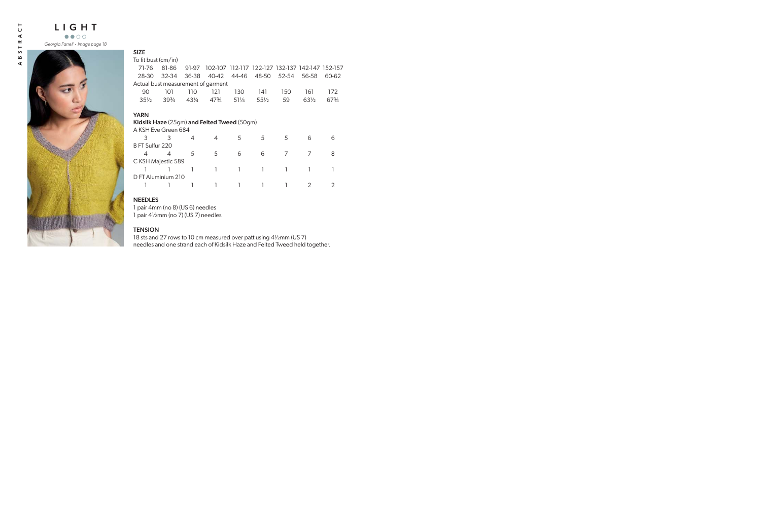

# SIZE

To fit bust (cm/in)

| To fit bust (cm/in) |           |       |                                             |       |                                                 |       |                 |       |
|---------------------|-----------|-------|---------------------------------------------|-------|-------------------------------------------------|-------|-----------------|-------|
| 71-76               | 81-86     | 91-97 |                                             |       | 102-107 112-117 122-127 132-137 142-147 152-157 |       |                 |       |
| 28-30               | $32 - 34$ | 36-38 | 40-42                                       | 44-46 | 48-50                                           | 52-54 | 56-58           | 60-62 |
|                     |           |       | Actual bust measurement of garment          |       |                                                 |       |                 |       |
| 90                  | 101       | 110   | 121                                         | 130   | 141                                             | 150   | 161             | 172   |
| $35\frac{1}{2}$     | 3934      | 431/4 | 47%                                         | 511⁄4 | $55\frac{1}{2}$                                 | 59    | $63\frac{1}{2}$ | 67%   |
| YARN                |           |       |                                             |       |                                                 |       |                 |       |
|                     |           |       | Kidsilk Haze (25gm) and Felted Tweed (50gm) |       |                                                 |       |                 |       |
| A KSH Eve Green 684 |           |       |                                             |       |                                                 |       |                 |       |
| 3                   | 3         | 4     | 4                                           | 5     | 5                                               | 5     | 6               | 6     |
| B FT Sulfur 220     |           |       |                                             |       |                                                 |       |                 |       |
| 4                   | 4         | 5     | 5                                           | 6     | 6                                               | 7     | 7               | 8     |
| C KSH Majestic 589  |           |       |                                             |       |                                                 |       |                 |       |
|                     |           |       |                                             |       |                                                 |       |                 |       |
| D FT Aluminium 210  |           |       |                                             |       |                                                 |       |                 |       |
|                     |           |       |                                             |       |                                                 |       | $\mathcal{P}$   |       |
|                     |           |       |                                             |       |                                                 |       |                 |       |

# NEEDLES

1 pair 4mm (no 8) (US 6) needles 1 pair 4½mm (no 7) (US 7) needles

### **TENSION**

18 sts and 27 rows to 10 cm measured over patt using 4½mm (US 7) needles and one strand each of Kidsilk Haze and Felted Tweed held together.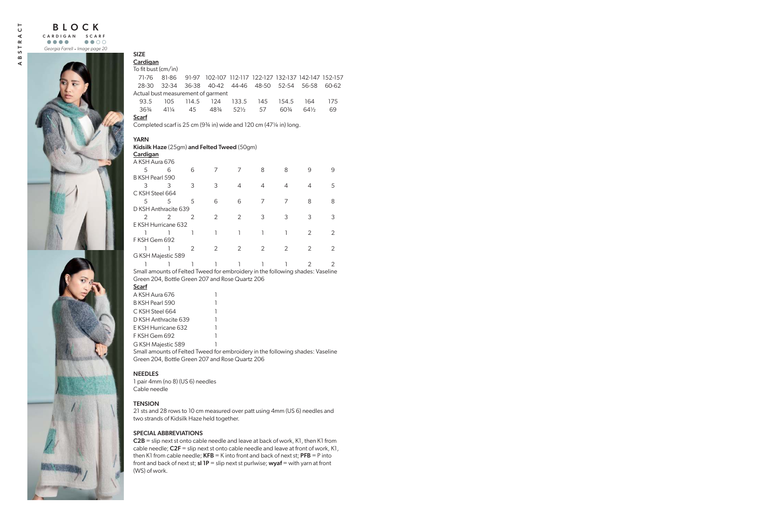

# SIZE

# **Cardigan**

 $T_0$  fit bust  $\left(\frac{cm}{in}\right)$ 

| TO III DUSLICITI/ IIII                                                  |                 |       |                                                       |                 |     |       |                 |       |  |  |
|-------------------------------------------------------------------------|-----------------|-------|-------------------------------------------------------|-----------------|-----|-------|-----------------|-------|--|--|
| 71-76                                                                   | 81-86           |       | 91-97 102-107 112-117 122-127 132-137 142-147 152-157 |                 |     |       |                 |       |  |  |
| 28-30                                                                   | 32-34           | 36-38 | 40-42 44-46 48-50                                     |                 |     | 52-54 | 56-58           | 60-62 |  |  |
| Actual bust measurement of garment                                      |                 |       |                                                       |                 |     |       |                 |       |  |  |
| 93.5                                                                    | 105             | 114.5 | 124                                                   | 133.5           | 145 | 154.5 | 164             | 175   |  |  |
| 363⁄4                                                                   | $41\frac{1}{4}$ | 45    | 483⁄4                                                 | $52\frac{1}{2}$ | 57  | 60\%  | $64\frac{1}{2}$ | 69    |  |  |
| Scarf                                                                   |                 |       |                                                       |                 |     |       |                 |       |  |  |
| Completed scarf is 25 cm $(93/4$ in) wide and 120 cm $(471/4$ in) long. |                 |       |                                                       |                 |     |       |                 |       |  |  |
|                                                                         |                 |       |                                                       |                 |     |       |                 |       |  |  |
| YARN                                                                    |                 |       |                                                       |                 |     |       |                 |       |  |  |
| Kidsilk Haze (25gm) and Felted Tweed (50gm)                             |                 |       |                                                       |                 |     |       |                 |       |  |  |

**Cardigan** 

| A KSH Aura 676       |   |   |   |               |               |   |   |   |
|----------------------|---|---|---|---------------|---------------|---|---|---|
| 5                    | 6 | 6 |   |               | 8             | 8 | 9 |   |
| B KSH Pearl 590      |   |   |   |               |               |   |   |   |
|                      | 3 | 3 | 3 | 4             | 4             |   | 4 | 5 |
| CKSH Steel 664       |   |   |   |               |               |   |   |   |
| 5                    | 5 | 5 | 6 | 6             |               |   | 8 |   |
| D KSH Anthracite 639 |   |   |   |               |               |   |   |   |
|                      |   | 2 | 2 | 2             | 3             | 3 | 3 |   |
| E KSH Hurricane 632  |   |   |   |               |               |   |   |   |
|                      |   |   |   |               |               |   | 2 |   |
| F KSH Gem 692        |   |   |   |               |               |   |   |   |
|                      |   | 2 | 2 | $\mathcal{P}$ | $\mathcal{L}$ | 2 | 2 |   |
| G KSH Majestic 589   |   |   |   |               |               |   |   |   |
|                      |   |   |   |               |               |   |   |   |

Small amounts of Felted Tweed for embroidery in the following shades: Vaseline Green 204, Bottle Green 207 and Rose Quartz 206

| <b>Scarf</b>         |   |
|----------------------|---|
| A KSH Aura 676       | 1 |
| B KSH Pearl 590      | ٦ |
| C.KSH Steel 664      | 1 |
| D KSH Anthracite 639 | 1 |
| F KSH Hurricane 632  | ٦ |
| F KSH Gem 692        | ٦ |
| G KSH Majestic 589   |   |

Small amounts of Felted Tweed for embroidery in the following shades: Vaseline Green 204, Bottle Green 207 and Rose Quartz 206

## **NEEDLES**

1 pair 4mm (no 8) (US 6) needles Cable needle

## **TENSION**

21 sts and 28 rows to 10 cm measured over patt using 4mm (US 6) needles and two strands of Kidsilk Haze held together.

## SPECIAL ABBREVIATIONS

C2B = slip next st onto cable needle and leave at back of work, K1, then K1 from cable needle;  $C2F =$  slip next st onto cable needle and leave at front of work, K1, then K1 from cable needle;  $KFB = K$  into front and back of next st;  $PFB = P$  into front and back of next st; **sl 1P** = slip next st purlwise; **wyaf** = with yarn at front (WS) of work.

⋖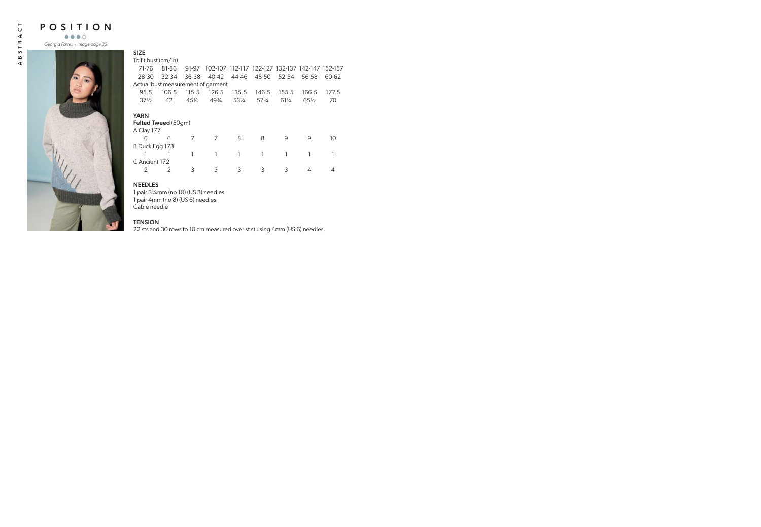POSITION

*Georgia Farrell* . *Image page 22*



| ł<br>۰. |  |  |  |
|---------|--|--|--|
|         |  |  |  |

| To fit bust (cm/in) |                 |                            |       |                                    |       |                 |                                                 |
|---------------------|-----------------|----------------------------|-------|------------------------------------|-------|-----------------|-------------------------------------------------|
| 81-86               | 91-97           |                            |       |                                    |       |                 |                                                 |
| $32 - 34$<br>28-30  | 36-38           | 40-42                      | 44-46 |                                    |       | 56-58           | 60-62                                           |
|                     |                 |                            |       |                                    |       |                 |                                                 |
| 106.5               | 115.5           | 126.5                      | 135.5 | 146.5                              | 155.5 | 166.5           | 177.5                                           |
| 42                  | $45\frac{1}{2}$ | 493⁄4                      | 531/4 | 573/4                              | 611/4 | $65\frac{1}{2}$ | 70                                              |
|                     |                 |                            |       |                                    |       |                 |                                                 |
|                     |                 |                            |       |                                    |       |                 |                                                 |
| A Clay 177          |                 |                            |       |                                    |       |                 |                                                 |
| 6                   | 7               | 7                          | 8     | 8                                  | 9     | 9               | 10                                              |
| B Duck Egg 173      |                 |                            |       |                                    |       |                 |                                                 |
|                     |                 | 1                          |       | 1                                  |       |                 |                                                 |
| C Ancient 172       |                 |                            |       |                                    |       |                 |                                                 |
| $\mathcal{P}$       | 3               | 3                          | 3     | 3                                  | 3     | 4               |                                                 |
|                     |                 | <b>Felted Tweed (50gm)</b> |       | Actual bust measurement of garment |       | 48-50 52-54     | 102-107 112-117 122-127 132-137 142-147 152-157 |

#### NEEDLES

1 pair 3¼mm (no 10) (US 3) needles 1 pair 4mm (no 8) (US 6) needles Cable needle

# **TENSION**

22 sts and 30 rows to 10 cm measured over st st using 4mm (US 6) needles.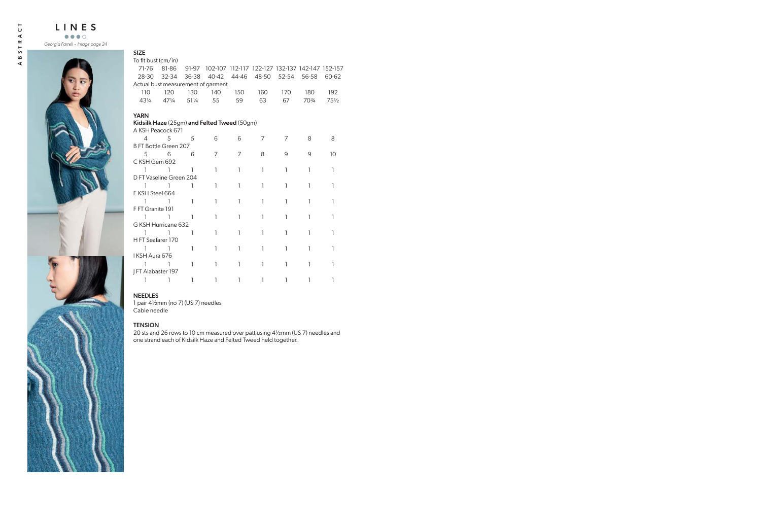

| <b>SIZE</b>                        |                 |     |                                                       |     |                         |     |       |                 |
|------------------------------------|-----------------|-----|-------------------------------------------------------|-----|-------------------------|-----|-------|-----------------|
| To fit bust (cm/in)                |                 |     |                                                       |     |                         |     |       |                 |
| 71-76                              | 81-86           |     | 91-97 102-107 112-117 122-127 132-137 142-147 152-157 |     |                         |     |       |                 |
| 28-30                              | 32-34           |     | 36-38 40-42                                           |     | 44-46 48-50 52-54 56-58 |     |       | 60-62           |
| Actual bust measurement of garment |                 |     |                                                       |     |                         |     |       |                 |
| 110                                | 120             | 130 | 140                                                   | 150 | 160                     | 170 | 180   | 192             |
| $43\frac{1}{4}$                    | $47\frac{1}{4}$ | 51¼ | 55                                                    | 59  | 63                      | 67  | 703/4 | $75\frac{1}{2}$ |
| <b>YARN</b>                        |                 |     |                                                       |     |                         |     |       |                 |
|                                    |                 |     | Kidsilk Haze (25gm) and Felted Tweed (50gm)           |     |                         |     |       |                 |
| A KSH Peacock 671                  |                 |     |                                                       |     |                         |     |       |                 |
| 4                                  | $5^{\circ}$     | 5   | 6                                                     | 6   | 7                       | 7   | 8     | 8               |
| <b>B FT Bottle Green 207</b>       |                 |     |                                                       |     |                         |     |       |                 |
| 5                                  | 6               | 6   | 7                                                     | 7   | 8                       | 9   | 9     | 10              |
| CKSH Gem 692                       |                 |     |                                                       |     |                         |     |       |                 |
| ı                                  | 1               | 1   | ı                                                     | 1   | 1                       | ı   | ı     | 1               |
| D FT Vaseline Green 204            |                 |     |                                                       |     |                         |     |       |                 |
| ı                                  | 1               | 1   | I.                                                    | 1   | 1                       | ı   | ı     | $\mathbf{1}$    |
| E KSH Steel 664                    |                 |     |                                                       |     |                         |     |       |                 |
| ı                                  | 1               | 1   | ı                                                     | 1   | 1                       | 1   | 1     | 1               |
| F FT Granite 191                   |                 |     |                                                       |     |                         |     |       |                 |
| ı                                  | $\mathbf{1}$    | 1   | ı                                                     | 1   | ı                       | 1   | 1     | 1               |
| G KSH Hurricane 632                |                 |     |                                                       |     |                         |     |       |                 |
| ı                                  | 1               | 1   | 1                                                     | 1   | 1                       | ı   | 1     | 1               |
| H FT Seafarer 170                  |                 |     |                                                       |     |                         |     |       |                 |
| ı                                  | 1               | 1   | ı                                                     | 1   | ı                       | ı   | ı     | 1               |
| I KSH Aura 676                     |                 |     |                                                       |     |                         |     |       |                 |
| ı                                  | 1               | 1   | ı                                                     | 1   | 1                       | 1   | ı     | ı               |
| FT Alabaster 197                   |                 |     |                                                       |     |                         |     |       |                 |
| ı                                  | 1               | 1   | ı                                                     | 1   | 1                       | ı   | 1     | ı               |

## NEEDLES

1 pair 4½mm (no 7) (US 7) needles Cable needle

### **TENSION**

20 sts and 26 rows to 10 cm measured over patt using 4½mm (US 7) needles and one strand each of Kidsilk Haze and Felted Tweed held together.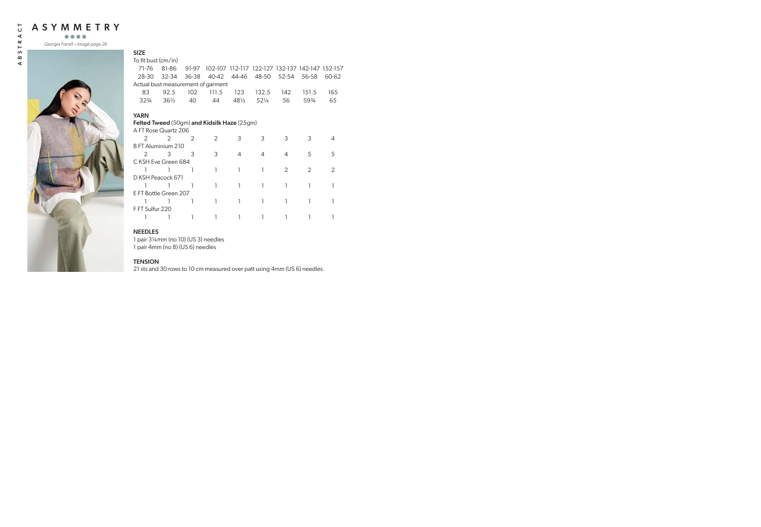



| <b>SIZE</b>                                        |                 |               |               |                 |                                                 |                |                |       |
|----------------------------------------------------|-----------------|---------------|---------------|-----------------|-------------------------------------------------|----------------|----------------|-------|
| To fit bust (cm/in)                                |                 |               |               |                 |                                                 |                |                |       |
| 71-76                                              | 81-86           | 91-97         |               |                 | 102-107 112-117 122-127 132-137 142-147 152-157 |                |                |       |
| 28-30                                              | 32-34           | 36-38         | 40-42         | 44-46           | 48-50                                           | 52-54          | 56-58          | 60-62 |
| Actual bust measurement of garment                 |                 |               |               |                 |                                                 |                |                |       |
| 83                                                 | 92.5            | 102           | 111.5         | 123             | 132.5                                           | 142            | 151.5          | 165   |
| $32\frac{3}{4}$                                    | $36\frac{1}{2}$ | 40            | 44            | $48\frac{1}{2}$ | 521/4                                           | 56             | 59%            | 65    |
| <b>YARN</b>                                        |                 |               |               |                 |                                                 |                |                |       |
| <b>Felted Tweed</b> (50gm) and Kidsilk Haze (25gm) |                 |               |               |                 |                                                 |                |                |       |
| A FT Rose Quartz 206                               |                 |               |               |                 |                                                 |                |                |       |
| $\mathcal{P}$                                      | $\mathcal{P}$   | $\mathcal{P}$ | $\mathcal{P}$ | 3               | 3                                               | 3              | 3              | 4     |
| B FT Aluminium 210                                 |                 |               |               |                 |                                                 |                |                |       |
| $\mathcal{P}$                                      | 3               | 3             | 3             | 4               | 4                                               | 4              | 5              | 5     |
| C KSH Eve Green 684                                |                 |               |               |                 |                                                 |                |                |       |
|                                                    |                 |               | 1             | 1               | 1                                               | $\overline{2}$ | $\overline{2}$ | 2     |
| D KSH Peacock 671                                  |                 |               |               |                 |                                                 |                |                |       |
|                                                    |                 |               |               |                 | 1                                               |                |                |       |
| E FT Bottle Green 207                              |                 |               |               |                 |                                                 |                |                |       |
|                                                    |                 |               |               |                 | 1                                               |                |                |       |
| F FT Sulfur 220                                    |                 |               |               |                 |                                                 |                |                |       |
|                                                    |                 |               |               |                 |                                                 |                |                |       |

# NEEDLES

1 pair 3¼mm (no 10) (US 3) needles 1 pair 4mm (no 8) (US 6) needles

### **TENSION**

21 sts and 30 rows to 10 cm measured over patt using 4mm (US 6) needles.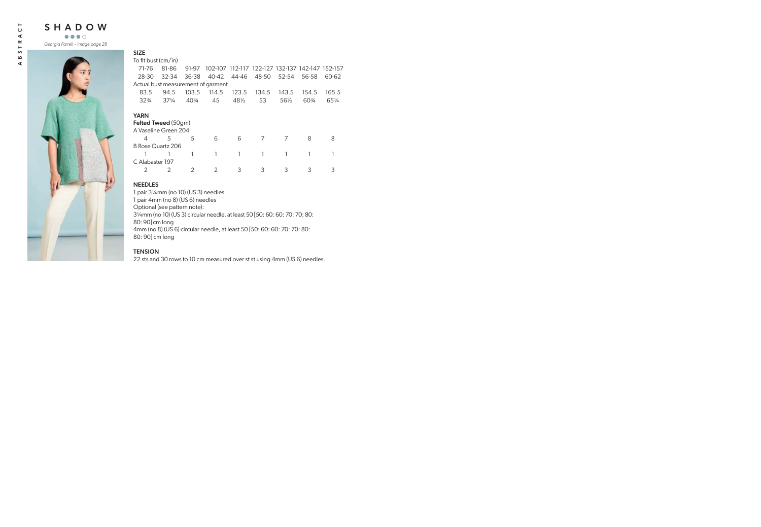SHADOW

*Georgia Farrell* . *Image page 28*



#### SIZE

To fit bust (cm/in)

| 71-76                              | 81-86           | 91-97           |       |       | 102-107 112-117 122-127 132-137 142-147 152-157 |       |       |       |
|------------------------------------|-----------------|-----------------|-------|-------|-------------------------------------------------|-------|-------|-------|
| 28-30                              | 32-34           | 36-38           | 40-42 | 44-46 | 48-50                                           | 52-54 | 56-58 | 60-62 |
| Actual bust measurement of garment |                 |                 |       |       |                                                 |       |       |       |
| 83.5                               | 94.5            | 103.5           | 114.5 | 123.5 | 134.5                                           | 143.5 | 154.5 | 165.5 |
| $32\frac{3}{4}$                    | $37\frac{1}{4}$ | $40\frac{3}{4}$ | 45    | 481/2 | 53                                              | 561/2 | 60\%  | 651/4 |
|                                    |                 |                 |       |       |                                                 |       |       |       |
| <b>YARN</b>                        |                 |                 |       |       |                                                 |       |       |       |
| <b>Felted Tweed (50gm)</b>         |                 |                 |       |       |                                                 |       |       |       |
| A Vaseline Green 204               |                 |                 |       |       |                                                 |       |       |       |
| 4                                  | 5               | 5               | 6     | 6     | 7                                               | 7     | 8     | 8     |
| B Rose Quartz 206                  |                 |                 |       |       |                                                 |       |       |       |
|                                    |                 |                 |       |       | 1                                               |       |       |       |
| C Alabaster 197                    |                 |                 |       |       |                                                 |       |       |       |
| 2                                  | 2               |                 |       | 3     | 3                                               | 3     | 3     | З     |
|                                    |                 |                 |       |       |                                                 |       |       |       |

### NEEDLES

1 pair 3¼mm (no 10) (US 3) needles 1 pair 4mm (no 8) (US 6) needles Optional (see pattern note): 3¼mm (no 10) (US 3) circular needle, at least 50 [50: 60: 60: 70: 70: 80: 80: 90] cm long 4mm (no 8) (US 6) circular needle, at least 50 [50: 60: 60: 70: 70: 80: 80: 90] cm long

# **TENSION**

22 sts and 30 rows to 10 cm measured over st st using 4mm (US 6) needles.